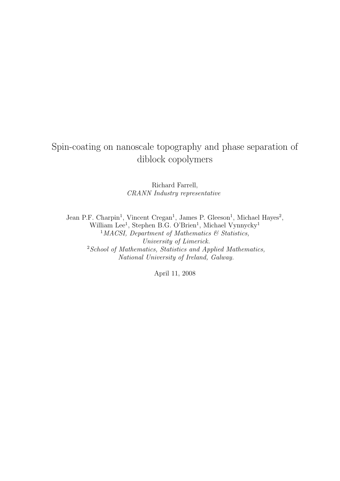# Spin-coating on nanoscale topography and phase separation of diblock copolymers

Richard Farrell, CRANN Industry representative

Jean P.F. Charpin<sup>1</sup>, Vincent Cregan<sup>1</sup>, James P. Gleeson<sup>1</sup>, Michael Hayes<sup>2</sup>, William Lee<sup>1</sup>, Stephen B.G. O'Brien<sup>1</sup>, Michael Vynnycky<sup>1</sup> <sup>1</sup>MACSI, Department of Mathematics  $\mathcal{B}$  Statistics, University of Limerick.  $2$ School of Mathematics, Statistics and Applied Mathematics, National University of Ireland, Galway.

April 11, 2008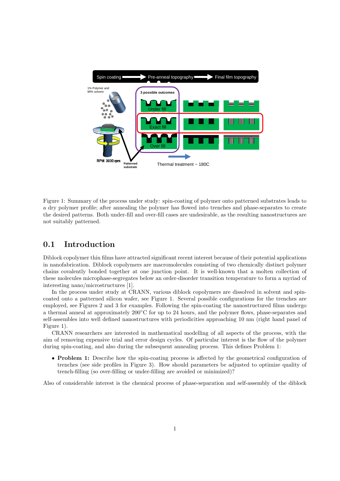

Figure 1: Summary of the process under study: spin-coating of polymer onto patterned substrates leads to a dry polymer profile; after annealing the polymer has flowed into trenches and phase-separates to create the desired patterns. Both under-fill and over-fill cases are undesirable, as the resulting nanostructures are not suitably patterned.

# 0.1 Introduction

Diblock copolymer thin films have attracted significant recent interest because of their potential applications in nanofabrication. Diblock copolymers are macromolecules consisting of two chemically distinct polymer chains covalently bonded together at one junction point. It is well-known that a molten collection of these molecules microphase-segregates below an order-disorder transition temperature to form a myriad of interesting nano/microstructures [1].

In the process under study at CRANN, various diblock copolymers are dissolved in solvent and spincoated onto a patterned silicon wafer, see Figure 1. Several possible configurations for the trenches are employed, see Figures 2 and 3 for examples. Following the spin-coating the nanostructured films undergo a thermal anneal at approximately 200◦C for up to 24 hours, and the polymer flows, phase-separates and self-assembles into well defined nanostructures with periodicities approaching 10 nm (right hand panel of Figure 1).

CRANN researchers are interested in mathematical modelling of all aspects of the process, with the aim of removing expensive trial and error design cycles. Of particular interest is the flow of the polymer during spin-coating, and also during the subsequent annealing process. This defines Problem 1:

• Problem 1: Describe how the spin-coating process is affected by the geometrical configuration of trenches (see side profiles in Figure 3). How should parameters be adjusted to optimize quality of trench-filling (so over-filling or under-filling are avoided or minimized)?

Also of considerable interest is the chemical process of phase-separation and self-assembly of the diblock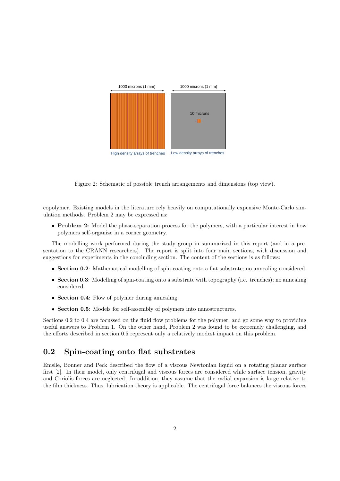

Figure 2: Schematic of possible trench arrangements and dimensions (top view).

copolymer. Existing models in the literature rely heavily on computationally expensive Monte-Carlo simulation methods. Problem 2 may be expressed as:

• Problem 2: Model the phase-separation process for the polymers, with a particular interest in how polymers self-organize in a corner geometry.

The modelling work performed during the study group in summarized in this report (and in a presentation to the CRANN researchers). The report is split into four main sections, with discussion and suggestions for experiments in the concluding section. The content of the sections is as follows:

- Section 0.2: Mathematical modelling of spin-coating onto a flat substrate; no annealing considered.
- Section 0.3: Modelling of spin-coating onto a substrate with topography (i.e. trenches); no annealing considered.
- Section 0.4: Flow of polymer during annealing.
- Section 0.5: Models for self-assembly of polymers into nanostructures.

Sections 0.2 to 0.4 are focussed on the fluid flow problems for the polymer, and go some way to providing useful answers to Problem 1. On the other hand, Problem 2 was found to be extremely challenging, and the efforts described in section 0.5 represent only a relatively modest impact on this problem.

## 0.2 Spin-coating onto flat substrates

Emslie, Bonner and Peck described the flow of a viscous Newtonian liquid on a rotating planar surface first [2]. In their model, only centrifugal and viscous forces are considered while surface tension, gravity and Coriolis forces are neglected. In addition, they assume that the radial expansion is large relative to the film thickness. Thus, lubrication theory is applicable. The centrifugal force balances the viscous forces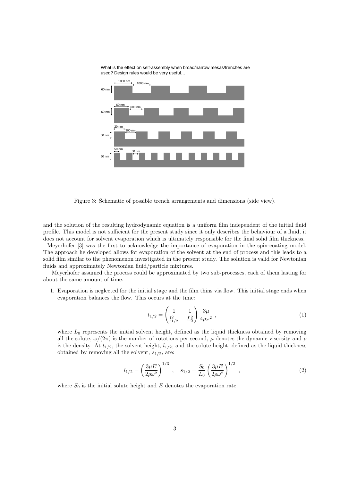

What is the effect on self-assembly when broad/narrow mesas/trenches are used? Design rules would be very useful…

Figure 3: Schematic of possible trench arrangements and dimensions (side view).

and the solution of the resulting hydrodynamic equation is a uniform film independent of the initial fluid profile. This model is not sufficient for the present study since it only describes the behaviour of a fluid, it does not account for solvent evaporation which is ultimately responsible for the final solid film thickness.

Meyerhofer [3] was the first to acknowledge the importance of evaporation in the spin-coating model. The approach he developed allows for evaporation of the solvent at the end of process and this leads to a solid film similar to the phenomenon investigated in the present study. The solution is valid for Newtonian fluids and approximately Newtonian fluid/particle mixtures.

Meyerhofer assumed the process could be approximated by two sub-processes, each of them lasting for about the same amount of time.

1. Evaporation is neglected for the initial stage and the film thins via flow. This initial stage ends when evaporation balances the flow. This occurs at the time:

$$
t_{1/2} = \left(\frac{1}{l_{1/2}^2} - \frac{1}{L_0^2}\right) \frac{3\mu}{4\rho\omega^2} , \qquad (1)
$$

where  $L_0$  represents the initial solvent height, defined as the liquid thickness obtained by removing all the solute,  $\omega/(2\pi)$  is the number of rotations per second,  $\mu$  denotes the dynamic viscosity and  $\rho$ is the density. At  $t_{1/2}$ , the solvent height,  $l_{1/2}$ , and the solute height, defined as the liquid thickness obtained by removing all the solvent,  $s_{1/2}$ , are:

$$
l_{1/2} = \left(\frac{3\mu E}{2\rho\omega^2}\right)^{1/3}, \quad s_{1/2} = \frac{S_0}{L_0} \left(\frac{3\mu E}{2\rho\omega^2}\right)^{1/3}, \tag{2}
$$

where  $S_0$  is the initial solute height and E denotes the evaporation rate.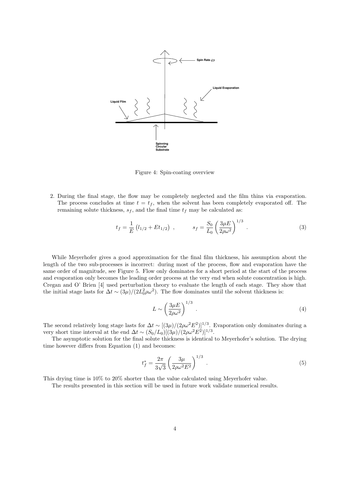

Figure 4: Spin-coating overview

2. During the final stage, the flow may be completely neglected and the film thins via evaporation. The process concludes at time  $t = t_f$ , when the solvent has been completely evaporated off. The remaining solute thickness,  $s_f$ , and the final time  $t_f$  may be calculated as:

$$
t_f = \frac{1}{E} \left( l_{1/2} + E t_{1/2} \right) , \qquad s_f = \frac{S_0}{L_0} \left( \frac{3 \mu E}{2 \rho \omega^2} \right)^{1/3} . \tag{3}
$$

While Meyerhofer gives a good approximation for the final film thickness, his assumption about the length of the two sub-processes is incorrect: during most of the process, flow and evaporation have the same order of magnitude, see Figure 5. Flow only dominates for a short period at the start of the process and evaporation only becomes the leading order process at the very end when solute concentration is high. Cregan and O' Brien [4] used perturbation theory to evaluate the length of each stage. They show that the initial stage lasts for  $\Delta t \sim (3\mu)/(2L_0^2 \rho \omega^2)$ . The flow dominates until the solvent thickness is:

$$
L \sim \left(\frac{3\mu E}{2\rho\omega^2}\right)^{1/3} \tag{4}
$$

The second relatively long stage lasts for  $\Delta t \sim [(3\mu)/(2\rho\omega^2 E^2)]^{1/3}$ . Evaporation only dominates during a very short time interval at the end  $\Delta t \sim (S_0/L_0)[(3\mu)/(2\rho\omega^2 E^2)]^{1/3}$ .

The asymptotic solution for the final solute thickness is identical to Meyerhofer's solution. The drying time however differs from Equation (1) and becomes:

$$
t_f^* = \frac{2\pi}{3\sqrt{3}} \left(\frac{3\mu}{2\rho\omega^2 E^2}\right)^{1/3} . \tag{5}
$$

This drying time is 10% to 20% shorter than the value calculated using Meyerhofer value.

The results presented in this section will be used in future work validate numerical results.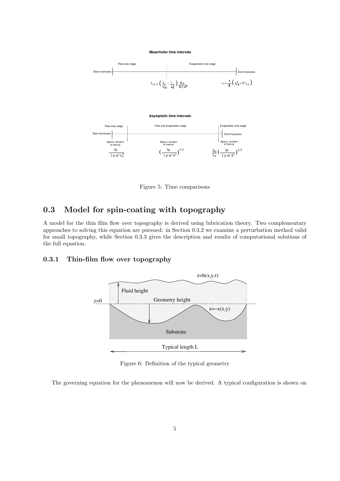#### **Meyerhofer time intervals**





Figure 5: Time comparisons

# 0.3 Model for spin-coating with topography

A model for the thin film flow over topography is derived using lubrication theory. Two complementary approaches to solving this equation are pursued: in Section 0.3.2 we examine a perturbation method valid for small topography, while Section 0.3.3 gives the description and results of computational solutions of the full equation.

### 0.3.1 Thin-film flow over topography



Figure 6: Definition of the typical geometry

The governing equation for the phenomenon will now be derived. A typical configuration is shown on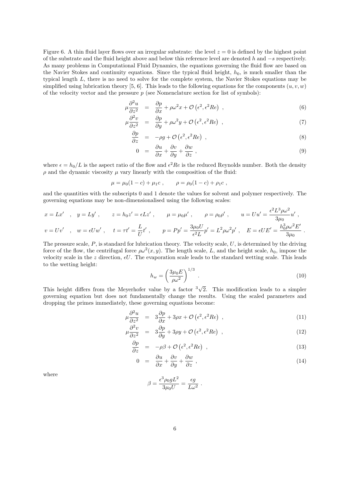Figure 6. A thin fluid layer flows over an irregular substrate: the level  $z = 0$  is defined by the highest point of the substrate and the fluid height above and below this reference level are denoted h and −s respectively. As many problems in Computational Fluid Dynamics, the equations governing the fluid flow are based on the Navier Stokes and continuity equations. Since the typical fluid height,  $h_0$ , is much smaller than the typical length L, there is no need to solve for the complete system, the Navier Stokes equations may be simplified using lubrication theory [5, 6]. This leads to the following equations for the components  $(u, v, w)$ of the velocity vector and the pressure  $p$  (see Nomenclature section for list of symbols):

$$
\mu \frac{\partial^2 u}{\partial z^2} = \frac{\partial p}{\partial x} + \rho \omega^2 x + \mathcal{O}\left(\epsilon^2, \epsilon^2 Re\right) ,\qquad (6)
$$

$$
\mu \frac{\partial^2 v}{\partial z^2} = \frac{\partial p}{\partial y} + \rho \omega^2 y + \mathcal{O}\left(\epsilon^2, \epsilon^2 Re\right) , \qquad (7)
$$

$$
\frac{\partial p}{\partial z} = -\rho g + \mathcal{O}\left(\epsilon^2, \epsilon^2 Re\right) ,\qquad (8)
$$

$$
0 = \frac{\partial u}{\partial x} + \frac{\partial v}{\partial y} + \frac{\partial w}{\partial z} , \qquad (9)
$$

where  $\epsilon = h_0/L$  is the aspect ratio of the flow and  $\epsilon^2 Re$  is the reduced Reynolds number. Both the density  $\rho$  and the dynamic viscosity  $\mu$  vary linearly with the composition of the fluid:

$$
\mu = \mu_0 (1 - c) + \mu_1 c
$$
,  $\rho = \rho_0 (1 - c) + \rho_1 c$ ,

and the quantities with the subscripts 0 and 1 denote the values for solvent and polymer respectively. The governing equations may be non-dimensionalised using the following scales:

$$
x = Lx'
$$
,  $y = Ly'$ ,  $z = h_0 z' = \epsilon Lz'$ ,  $\mu = \mu_0 \mu'$ ,  $\rho = \rho_0 \rho'$ ,  $u = Uu' = \frac{\epsilon^2 L^3 \rho \omega^2}{3\mu_0} u'$ ,  
\n $v = Uv'$ ,  $w = \epsilon Uw'$ ,  $t = \tau t' = \frac{L}{U}t'$ ,  $p = Pp' = \frac{3\mu_0 U}{\epsilon^2 L}p' = L^2 \rho \omega^2 p'$ ,  $E = \epsilon U E' = \frac{h_0^3 \rho \omega^2 E'}{3\mu_0}$ .

The pressure scale,  $P$ , is standard for lubrication theory. The velocity scale,  $U$ , is determined by the driving force of the flow, the centrifugal force  $\rho\omega^2(x, y)$ . The length scale, L, and the height scale,  $h_0$ , impose the velocity scale in the z direction,  $\epsilon U$ . The evaporation scale leads to the standard wetting scale. This leads to the wetting height:

$$
h_w = \left(\frac{3\mu_0 E}{\rho \omega^2}\right)^{1/3} \tag{10}
$$

 $\sim$ 

This height differs from the Meyerhofer value by a factor  $\sqrt[3]{}$ 2. This modification leads to a simpler governing equation but does not fundamentally change the results. Using the scaled parameters and dropping the primes immediately, these governing equations become:

$$
\mu \frac{\partial^2 u}{\partial z^2} = 3 \frac{\partial p}{\partial x} + 3\rho x + \mathcal{O}\left(\epsilon^2, \epsilon^2 Re\right) ,\qquad (11)
$$

$$
\mu \frac{\partial^2 v}{\partial z^2} = 3 \frac{\partial p}{\partial y} + 3\rho y + \mathcal{O}\left(\epsilon^2, \epsilon^2 Re\right) , \qquad (12)
$$

$$
\frac{\partial p}{\partial z} = -\rho \beta + \mathcal{O}\left(\epsilon^2, \epsilon^2 Re\right) , \qquad (13)
$$

$$
0 = \frac{\partial u}{\partial x} + \frac{\partial v}{\partial y} + \frac{\partial w}{\partial z} , \qquad (14)
$$

where

$$
\beta = \frac{\epsilon^3 \rho_0 g L^2}{3\mu_0 U} = \frac{\epsilon g}{L\omega^2} .
$$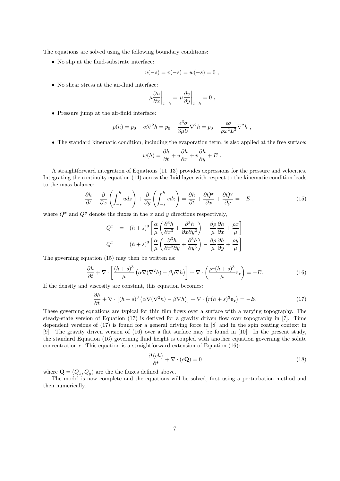The equations are solved using the following boundary conditions:

• No slip at the fluid-substrate interface:

$$
u(-s) = v(-s) = w(-s) = 0,
$$

• No shear stress at the air-fluid interface:

$$
\mu \frac{\partial u}{\partial x}\bigg|_{z=h} = \mu \frac{\partial v}{\partial y}\bigg|_{z=h} = 0,
$$

• Pressure jump at the air-fluid interface:

$$
p(h) = p_0 - \alpha \nabla^2 h = p_0 - \frac{\epsilon^3 \sigma}{3 \mu U} \nabla^2 h = p_0 - \frac{\epsilon \sigma}{\rho \omega^2 L^3} \nabla^2 h,
$$

• The standard kinematic condition, including the evaporation term, is also applied at the free surface:

$$
w(h) = \frac{\partial h}{\partial t} + u \frac{\partial h}{\partial x} + v \frac{\partial h}{\partial y} + E.
$$

A straightforward integration of Equations (11–13) provides expressions for the pressure and velocities. Integrating the continuity equation (14) across the fluid layer with respect to the kinematic condition leads to the mass balance:

$$
\frac{\partial h}{\partial t} + \frac{\partial}{\partial x} \left( \int_{-s}^{h} u dz \right) + \frac{\partial}{\partial y} \left( \int_{-s}^{h} v dz \right) = \frac{\partial h}{\partial t} + \frac{\partial Q^{x}}{\partial x} + \frac{\partial Q^{y}}{\partial y} = -E \tag{15}
$$

where  $Q^x$  and  $Q^y$  denote the fluxes in the x and y directions respectively,

$$
Q^{x} = (h+s)^{3} \left[ \frac{\alpha}{\mu} \left( \frac{\partial^{3} h}{\partial x^{3}} + \frac{\partial^{3} h}{\partial x \partial y^{2}} \right) - \frac{\beta \rho}{\mu} \frac{\partial h}{\partial x} + \frac{\rho x}{\mu} \right]
$$
  

$$
Q^{x} = (h+s)^{3} \left[ \frac{\alpha}{\mu} \left( \frac{\partial^{3} h}{\partial x^{2} \partial y} + \frac{\partial^{3} h}{\partial y^{3}} \right) - \frac{\beta \rho}{\mu} \frac{\partial h}{\partial y} + \frac{\rho y}{\mu} \right]
$$

The governing equation (15) may then be written as:

$$
\frac{\partial h}{\partial t} + \nabla \cdot \left[ \frac{(h+s)^3}{\mu} \left( \alpha \nabla (\nabla^2 h) - \beta \rho \nabla h \right) \right] + \nabla \cdot \left( \frac{\rho r (h+s)^3}{\mu} \mathbf{e_r} \right) = -E. \tag{16}
$$

If the density and viscosity are constant, this equation becomes:

$$
\frac{\partial h}{\partial t} + \nabla \cdot \left[ (h+s)^3 \left( \alpha \nabla (\nabla^2 h) - \beta \nabla h \right) \right] + \nabla \cdot \left( r(h+s)^3 \mathbf{e}_r \right) = -E. \tag{17}
$$

These governing equations are typical for thin film flows over a surface with a varying topography. The steady-state version of Equation (17) is derived for a gravity driven flow over topography in [7]. Time dependent versions of (17) is found for a general driving force in [8] and in the spin coating context in [9]. The gravity driven version of (16) over a flat surface may be found in [10]. In the present study, the standard Equation (16) governing fluid height is coupled with another equation governing the solute concentration  $c$ . This equation is a straightforward extension of Equation (16):

$$
\frac{\partial (ch)}{\partial t} + \nabla \cdot (c\mathbf{Q}) = 0 \tag{18}
$$

where  $\mathbf{Q} = (Q_x, Q_y)$  are the the fluxes defined above.

The model is now complete and the equations will be solved, first using a perturbation method and then numerically.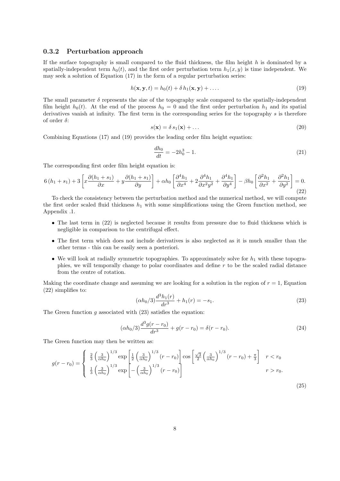#### 0.3.2 Perturbation approach

If the surface topography is small compared to the fluid thickness, the film height  $h$  is dominated by a spatially-independent term  $h_0(t)$ , and the first order perturbation term  $h_1(x, y)$  is time independent. We may seek a solution of Equation (17) in the form of a regular perturbation series:

$$
h(\mathbf{x}, \mathbf{y}, t) = h_0(t) + \delta h_1(\mathbf{x}, \mathbf{y}) + \dots
$$
\n(19)

The small parameter  $\delta$  represents the size of the topography scale compared to the spatially-independent film height  $h_0(t)$ . At the end of the process  $h_0 = 0$  and the first order perturbation  $h_1$  and its spatial derivatives vanish at infinity. The first term in the corresponding series for the topography s is therefore of order  $\delta$ :

$$
s(\mathbf{x}) = \delta s_1(\mathbf{x}) + \dots \tag{20}
$$

Combining Equations (17) and (19) provides the leading order film height equation:

$$
\frac{dh_0}{dt} = -2h_0^3 - 1.\tag{21}
$$

The corresponding first order film height equation is:

$$
6(h_1 + s_1) + 3\left[x\frac{\partial(h_1 + s_1)}{\partial x} + y\frac{\partial(h_1 + s_1)}{\partial y}\right] + \alpha h_0 \left[\frac{\partial^4 h_1}{\partial x^4} + 2\frac{\partial^4 h_1}{\partial x^2 y^2} + \frac{\partial^4 h_1}{\partial y^4}\right] - \beta h_0 \left[\frac{\partial^2 h_1}{\partial x^2} + \frac{\partial^2 h_1}{\partial y^2}\right] = 0. \tag{22}
$$

To check the consistency between the perturbation method and the numerical method, we will compute the first order scaled fluid thickness  $h_1$  with some simplifications using the Green function method, see Appendix .1.

- The last term in (22) is neglected because it results from pressure due to fluid thickness which is negligible in comparison to the centrifugal effect.
- The first term which does not include derivatives is also neglected as it is much smaller than the other terms - this can be easily seen a posteriori.
- We will look at radially symmetric topographies. To approximately solve for  $h_1$  with these topographies, we will temporally change to polar coordinates and define  $r$  to be the scaled radial distance from the centre of rotation.

Making the coordinate change and assuming we are looking for a solution in the region of  $r = 1$ , Equation (22) simplifies to:

$$
(\alpha h_0/3) \frac{d^3 h_1(r)}{dr^3} + h_1(r) = -s_1.
$$
\n(23)

The Green function  $q$  associated with  $(23)$  satisfies the equation:

$$
(\alpha h_0/3) \frac{d^3 g(r - r_0)}{dr^3} + g(r - r_0) = \delta(r - r_0). \tag{24}
$$

The Green function may then be written as:

$$
g(r - r_0) = \begin{cases} \frac{2}{3} \left(\frac{3}{\alpha h_0}\right)^{1/3} \exp\left[\frac{1}{2} \left(\frac{3}{\alpha h_0}\right)^{1/3} (r - r_0)\right] \cos\left[\frac{\sqrt{3}}{2} \left(\frac{3}{\alpha h_0}\right)^{1/3} (r - r_0) + \frac{\pi}{3}\right] & r < r_0\\ \frac{1}{3} \left(\frac{3}{\alpha h_0}\right)^{1/3} \exp\left[-\left(\frac{3}{\alpha h_0}\right)^{1/3} (r - r_0)\right] & r > r_0. \end{cases}
$$
(25)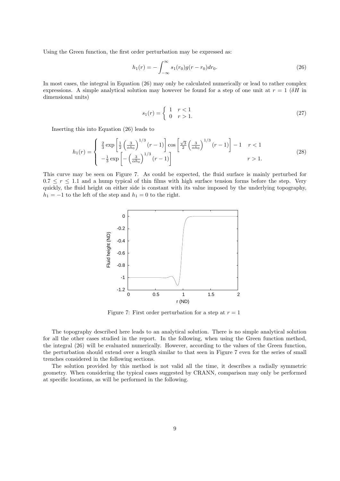Using the Green function, the first order perturbation may be expressed as:

$$
h_1(r) = -\int_{-\infty}^{\infty} s_1(r_0)g(r - r_0)dr_0.
$$
 (26)

In most cases, the integral in Equation (26) may only be calculated numerically or lead to rather complex expressions. A simple analytical solution may however be found for a step of one unit at  $r = 1$  ( $\delta H$  in dimensional units)

$$
s_1(r) = \begin{cases} 1 & r < 1 \\ 0 & r > 1. \end{cases}
$$
 (27)

Inserting this into Equation (26) leads to

$$
h_1(r) = \begin{cases} \frac{2}{3} \exp\left[\frac{1}{2} \left(\frac{3}{\alpha h_0}\right)^{1/3} (r-1)\right] \cos\left[\frac{\sqrt{3}}{2} \left(\frac{3}{\alpha h_0}\right)^{1/3} (r-1)\right] - 1 & r < 1\\ -\frac{1}{3} \exp\left[-\left(\frac{3}{\alpha h_0}\right)^{1/3} (r-1)\right] & r > 1. \end{cases}
$$
(28)

This curve may be seen on Figure 7. As could be expected, the fluid surface is mainly perturbed for  $0.7 \le r \le 1.1$  and a hump typical of thin films with high surface tension forms before the step. Very quickly, the fluid height on either side is constant with its value imposed by the underlying topography,  $h_1 = -1$  to the left of the step and  $h_1 = 0$  to the right.



Figure 7: First order perturbation for a step at  $r = 1$ 

The topography described here leads to an analytical solution. There is no simple analytical solution for all the other cases studied in the report. In the following, when using the Green function method, the integral (26) will be evaluated numerically. However, according to the values of the Green function, the perturbation should extend over a length similar to that seen in Figure 7 even for the series of small trenches considered in the following sections.

The solution provided by this method is not valid all the time, it describes a radially symmetric geometry. When considering the typical cases suggested by CRANN, comparison may only be performed at specific locations, as will be performed in the following.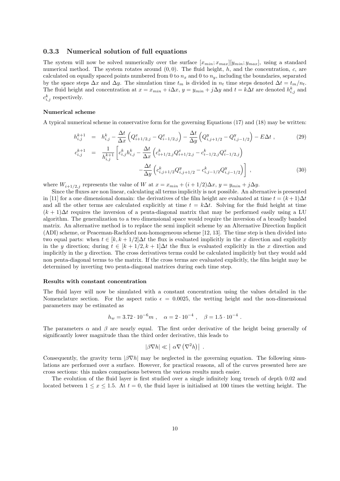#### 0.3.3 Numerical solution of full equations

The system will now be solved numerically over the surface  $[x_{min}; x_{max}][y_{min}; y_{max}]$ , using a standard numerical method. The system rotates around  $(0, 0)$ . The fluid height, h, and the concentration, c, are calculated on equally spaced points numbered from 0 to  $n_x$  and 0 to  $n_y$ , including the boundaries, separated by the space steps  $\Delta x$  and  $\Delta y$ . The simulation time  $t_m$  is divided in  $n_t$  time steps denoted  $\Delta t = t_m/n_t$ . The fluid height and concentration at  $x = x_{min} + i\Delta x$ ,  $y = y_{min} + j\Delta y$  and  $t = k\Delta t$  are denoted  $h_{i,j}^k$  and  $c_{i,j}^k$  respectively.

#### Numerical scheme

A typical numerical scheme in conservative form for the governing Equations (17) and (18) may be written:

$$
h_{i,j}^{k+1} = h_{i,j}^k - \frac{\Delta t}{\Delta x} \left( Q_{i+1/2,j}^x - Q_{i-1/2,j}^x \right) - \frac{\Delta t}{\Delta y} \left( Q_{i,j+1/2}^y - Q_{i,j-1/2}^y \right) - E \Delta t ,
$$
\n
$$
c_{i,j}^{k+1} = \frac{1}{h_{i,j}^{k+1}} \left[ c_{i,j}^k h_{i,j}^k - \frac{\Delta t}{\Delta x} \left( c_{i+1/2,j}^k Q_{i+1/2,j}^x - c_{i-1/2,j}^k Q_{i-1/2,j}^x \right) - \frac{\Delta t}{\Delta y} \left( c_{i,j+1/2}^k Q_{i,j+1/2}^y - c_{i,j-1/2}^k Q_{i,j-1/2}^y \right) \right],
$$
\n(30)

where  $W_{i+1/2,j}$  represents the value of W at  $x = x_{min} + (i + 1/2)\Delta x$ ,  $y = y_{min} + j\Delta y$ .

Since the fluxes are non linear, calculating all terms implicitly is not possible. An alternative is presented in [11] for a one dimensional domain: the derivatives of the film height are evaluated at time  $t = (k+1)\Delta t$ and all the other terms are calculated explicitly at time  $t = k\Delta t$ . Solving for the fluid height at time  $(k + 1)\Delta t$  requires the inversion of a penta-diagonal matrix that may be performed easily using a LU algorithm. The generalization to a two dimensional space would require the inversion of a broadly banded matrix. An alternative method is to replace the semi implicit scheme by an Alternative Direction Implicit (ADI) scheme, or Peaceman-Rachford non-homogeneous scheme [12, 13]. The time step is then divided into two equal parts: when  $t \in [k, k+1/2] \Delta t$  the flux is evaluated implicitly in the x direction and explicitly in the y direction; during  $t \in [k+1/2, k+1]\Delta t$  the flux is evaluated explicitly in the x direction and implicitly in the  $y$  direction. The cross derivatives terms could be calculated implicitly but they would add non penta-diagonal terms to the matrix. If the cross terms are evaluated explicitly, the film height may be determined by inverting two penta-diagonal matrices during each time step.

#### Results with constant concentration

The fluid layer will now be simulated with a constant concentration using the values detailed in the Nomenclature section. For the aspect ratio  $\epsilon = 0.0025$ , the wetting height and the non-dimensional parameters may be estimated as

$$
h_w = 3.72 \cdot 10^{-6} m \ , \quad \alpha = 2 \cdot 10^{-4} \ , \quad \beta = 1.5 \cdot 10^{-4} \ .
$$

The parameters  $\alpha$  and  $\beta$  are nearly equal. The first order derivative of the height being generally of significantly lower magnitude than the third order derivative, this leads to

$$
|\beta \nabla h| \ll |\alpha \nabla (\nabla^2 h)|.
$$

Consequently, the gravity term  $|\beta \nabla h|$  may be neglected in the governing equation. The following simulations are performed over a surface. However, for practical reasons, all of the curves presented here are cross sections: this makes comparisons between the various results much easier.

The evolution of the fluid layer is first studied over a single infinitely long trench of depth 0.02 and located between  $1 \leq x \leq 1.5$ . At  $t = 0$ , the fluid layer is initialised at 100 times the wetting height. The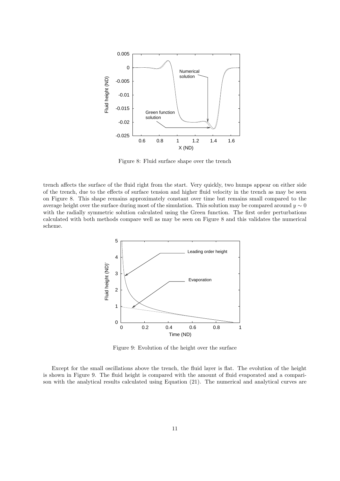

Figure 8: Fluid surface shape over the trench

trench affects the surface of the fluid right from the start. Very quickly, two humps appear on either side of the trench, due to the effects of surface tension and higher fluid velocity in the trench as may be seen on Figure 8. This shape remains approximately constant over time but remains small compared to the average height over the surface during most of the simulation. This solution may be compared around  $y \sim 0$ with the radially symmetric solution calculated using the Green function. The first order perturbations calculated with both methods compare well as may be seen on Figure 8 and this validates the numerical scheme.



Figure 9: Evolution of the height over the surface

Except for the small oscillations above the trench, the fluid layer is flat. The evolution of the height is shown in Figure 9. The fluid height is compared with the amount of fluid evaporated and a comparison with the analytical results calculated using Equation (21). The numerical and analytical curves are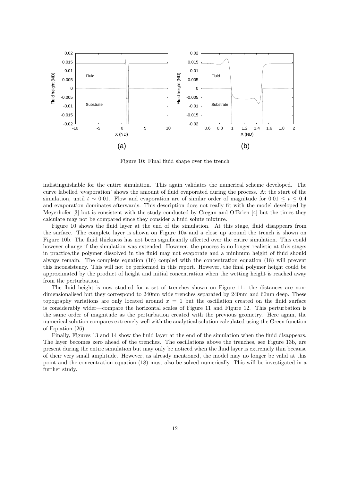

Figure 10: Final fluid shape over the trench

indistinguishable for the entire simulation. This again validates the numerical scheme developed. The curve labelled 'evaporation' shows the amount of fluid evaporated during the process. At the start of the simulation, until  $t \sim 0.01$ . Flow and evaporation are of similar order of magnitude for  $0.01 \le t \le 0.4$ and evaporation dominates afterwards. This description does not really fit with the model developed by Meyerhofer [3] but is consistent with the study conducted by Cregan and O'Brien [4] but the times they calculate may not be compared since they consider a fluid solute mixture.

Figure 10 shows the fluid layer at the end of the simulation. At this stage, fluid disappears from the surface. The complete layer is shown on Figure 10a and a close up around the trench is shown on Figure 10b. The fluid thickness has not been significantly affected over the entire simulation. This could however change if the simulation was extended. However, the process is no longer realistic at this stage: in practice,the polymer dissolved in the fluid may not evaporate and a minimum height of fluid should always remain. The complete equation (16) coupled with the concentration equation (18) will prevent this inconsistency. This will not be performed in this report. However, the final polymer height could be approximated by the product of height and initial concentration when the wetting height is reached away from the perturbation.

The fluid height is now studied for a set of trenches shown on Figure 11: the distances are nondimensionalised but they correspond to 240nm wide trenches separated by 240nm and 60nm deep. These topography variations are only located around  $x = 1$  but the oscillation created on the fluid surface is considerably wider—compare the horizontal scales of Figure 11 and Figure 12. This perturbation is the same order of magnitude as the perturbation created with the previous geometry. Here again, the numerical solution compares extremely well with the analytical solution calculated using the Green function of Equation (26).

Finally, Figures 13 and 14 show the fluid layer at the end of the simulation when the fluid disappears. The layer becomes zero ahead of the trenches. The oscillations above the trenches, see Figure 13b, are present during the entire simulation but may only be noticed when the fluid layer is extremely thin because of their very small amplitude. However, as already mentioned, the model may no longer be valid at this point and the concentration equation (18) must also be solved numerically. This will be investigated in a further study.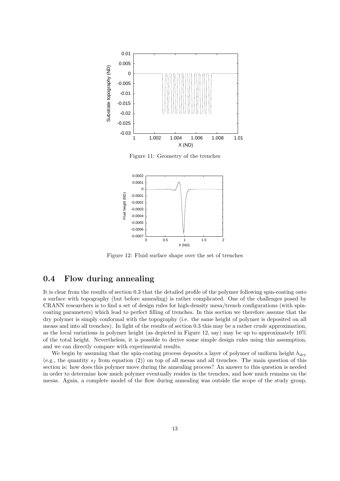

Figure 11: Geometry of the trenches



Figure 12: Fluid surface shape over the set of trenches

# 0.4 Flow during annealing

It is clear from the results of section 0.3 that the detailed profile of the polymer following spin-coating onto a surface with topography (but before annealing) is rather complicated. One of the challenges posed by CRANN researchers is to find a set of design rules for high-density mesa/trench configurations (with spincoating parameters) which lead to perfect filling of trenches. In this section we therefore assume that the dry polymer is simply conformal with the topography (i.e. the same height of polymer is deposited on all meass and into all trenches). In light of the results of section 0.3 this may be a rather crude approximation, as the local variations in polymer height (as depicted in Figure 12, say) may be up to approximately 10% of the total height. Nevertheless, it is possible to derive some simple design rules using this assumption, and we can directly compare with experimental results.

We begin by assuming that the spin-coating process deposits a layer of polymer of uniform height  $h_{\text{dry}}$ (e.g., the quantity  $s_f$  from equation (2)) on top of all mesas and all trenches. The main question of this section is: how does this polymer move during the annealing process? An answer to this question is needed in order to determine how much polymer eventually resides in the trenches, and how much remains on the mesas. Again, a complete model of the flow during annealing was outside the scope of the study group,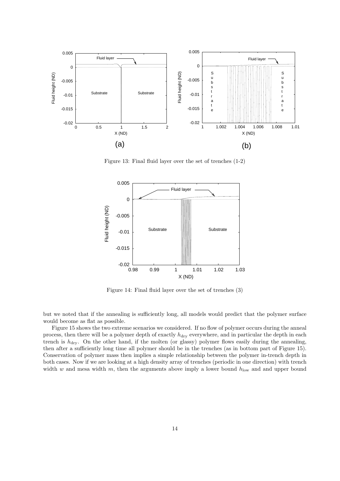

Figure 13: Final fluid layer over the set of trenches (1-2)



Figure 14: Final fluid layer over the set of trenches (3)

but we noted that if the annealing is sufficiently long, all models would predict that the polymer surface would become as flat as possible.

Figure 15 shows the two extreme scenarios we considered. If no flow of polymer occurs during the anneal process, then there will be a polymer depth of exactly  $h_{\text{dry}}$  everywhere, and in particular the depth in each trench is  $h_{\text{dry}}$ . On the other hand, if the molten (or glassy) polymer flows easily during the annealing, then after a sufficiently long time all polymer should be in the trenches (as in bottom part of Figure 15). Conservation of polymer mass then implies a simple relationship between the polymer in-trench depth in both cases. Now if we are looking at a high density array of trenches (periodic in one direction) with trench width w and mesa width m, then the arguments above imply a lower bound  $h_{\text{low}}$  and and upper bound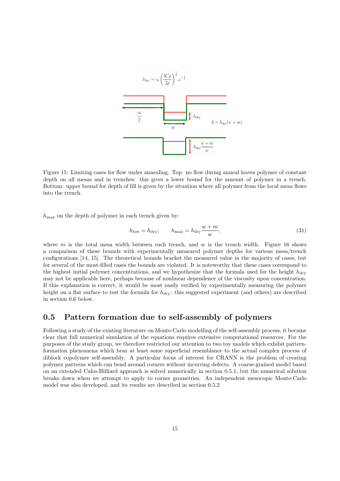

Figure 15: Limiting cases for flow under annealing. Top: no flow during anneal leaves polymer of constant depth on all mesas and in trenches: this gives a lower bound for the amount of polymer in a trench. Bottom: upper bound for depth of fill is given by the situation where all polymer from the local mesa flows into the trench.

 $h_{\text{max}}$  on the depth of polymer in each trench given by:

$$
h_{\text{low}} = h_{\text{dry}}; \qquad h_{\text{max}} = h_{\text{dry}} \frac{w + m}{w}, \tag{31}
$$

where m is the total mesa width between each trench, and w is the trench width. Figure 16 shows a comparison of these bounds with experimentally measured polymer depths for various mesa/trench configurations [14, 15]. The theoretical bounds bracket the measured value in the majority of cases, but for several of the most-filled cases the bounds are violated. It is noteworthy that these cases correspond to the highest initial polymer concentrations, and we hypothesize that the formula used for the height  $h_{\text{dry}}$ may not be applicable here, perhaps because of nonlinear dependence of the viscosity upon concentration. If this explanation is correct, it would be most easily verified by experimentally measuring the polymer height on a flat surface to test the formula for  $h_{\text{dry}}$ : this suggested experiment (and others) are described in section 0.6 below.

# 0.5 Pattern formation due to self-assembly of polymers

Following a study of the existing literature on Monte-Carlo modelling of the self-assembly process, it became clear that full numerical simulation of the equations requires extensive computational resources. For the purposes of the study group, we therefore restricted our attention to two toy models which exhibit patternformation phenomena which bear at least some superficial resemblance to the actual complex process of diblock copolymer self-assembly. A particular focus of interest for CRANN is the problem of creating polymer patterns which can bend around corners without incurring defects. A coarse-grained model based on an extended Cahn-Hilliard approach is solved numerically in section 0.5.1, but the numerical solution breaks down when we attempt to apply to corner geometries. An independent mesocopic Monte-Carlo model was also developed, and its results are described in section 0.5.2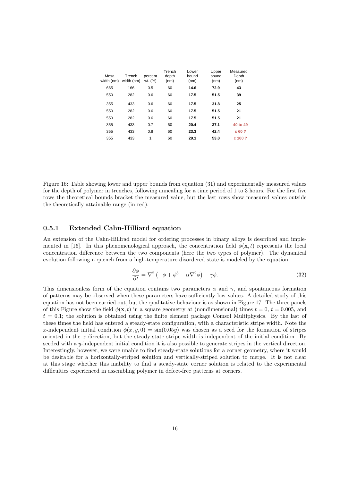| Mesa<br>width (nm) | Trench<br>width (nm) | percent<br>wt. (%) | Trench<br>depth<br>(nm) | Lower<br>bound<br>(nm) | Upper<br>bound<br>(nm) | Measured<br>Depth<br>(nm) |
|--------------------|----------------------|--------------------|-------------------------|------------------------|------------------------|---------------------------|
| 665                | 166                  | 0.5                | 60                      | 14.6                   | 72.9                   | 43                        |
| 550                | 282                  | 0.6                | 60                      | 17.5                   | 51.5                   | 39                        |
| 355                | 433                  | 0.6                | 60                      | 17.5                   | 31.8                   | 25                        |
| 550                | 282                  | 0.6                | 60                      | 17.5                   | 51.5                   | 21                        |
| 550                | 282                  | 0.6                | 60                      | 17.5                   | 51.5                   | 21                        |
| 355                | 433                  | 0.7                | 60                      | 20.4                   | 37.1                   | 40 to 49                  |
| 355                | 433                  | 0.8                | 60                      | 23.3                   | 42.4                   | c60?                      |
| 355                | 433                  | 1                  | 60                      | 29.1                   | 53.0                   | c 100 ?                   |

Figure 16: Table showing lower and upper bounds from equation (31) and experimentally measured values for the depth of polymer in trenches, following annealing for a time period of 1 to 3 hours. For the first five rows the theoretical bounds bracket the measured value, but the last rows show measured values outside the theoretically attainable range (in red).

### 0.5.1 Extended Cahn-Hilliard equation

An extension of the Cahn-Hillirad model for ordering processes in binary alloys is described and implemented in [16]. In this phenomenological approach, the concentration field  $\phi(\mathbf{x},t)$  represents the local concentration difference between the two components (here the two types of polymer). The dynamical evolution following a quench from a high-temperature disordered state is modeled by the equation

$$
\frac{\partial \phi}{\partial t} = \nabla^2 \left( -\phi + \phi^3 - \alpha \nabla^2 \phi \right) - \gamma \phi. \tag{32}
$$

This dimensionless form of the equation contains two parameters  $\alpha$  and  $\gamma$ , and spontaneous formation of patterns may be observed when these parameters have sufficiently low values. A detailed study of this equation has not been carried out, but the qualitative behaviour is as shown in Figure 17. The three panels of this Figure show the field  $\phi(\mathbf{x}, t)$  in a square geometry at (nondimensional) times  $t = 0, t = 0.005$ , and  $t = 0.1$ ; the solution is obtained using the finite element package Comsol Multiphysics. By the last of these times the field has entered a steady-state configuration, with a characteristic stripe width. Note the x-independent initial condition  $\phi(x, y, 0) = \sin(0.05y)$  was chosen as a seed for the formation of stripes oriented in the x-direction, but the steady-state stripe width is independent of the initial condition. By seeded with a  $y$ -independent initial condition it is also possible to generate stripes in the vertical direction. Interestingly, however, we were unable to find steady-state solutions for a corner geometry, where it would be desirable for a horizontally-striped solution and vertically-striped solution to merge. It is not clear at this stage whether this inability to find a steady-state corner solution is related to the experimental difficulties experienced in assembling polymer in defect-free patterns at corners.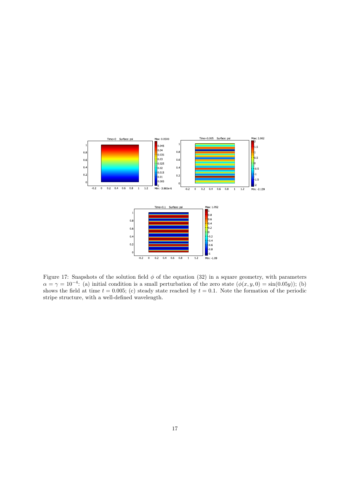

Figure 17: Snapshots of the solution field  $\phi$  of the equation (32) in a square geometry, with parameters  $\alpha = \gamma = 10^{-4}$ : (a) initial condition is a small perturbation of the zero state  $(\phi(x, y, 0) = \sin(0.05y))$ ; (b) shows the field at time  $t = 0.005$ ; (c) steady state reached by  $t = 0.1$ . Note the formation of the periodic stripe structure, with a well-defined wavelength.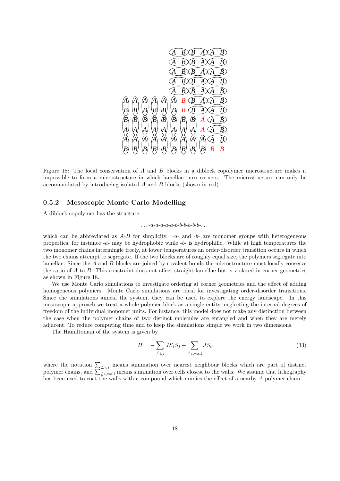

Figure 18: The local conservation of A and B blocks in a diblock copolymer microstructure makes it impossible to form a microstructure in which lamellae turn corners. The microstructure can only be accommodated by introducing isolated A and B blocks (shown in red).

### 0.5.2 Mesoscopic Monte Carlo Modelling

A diblock copolymer has the structure

 $a - a - a - a - a - b - b - b - b - b - b - \ldots$ 

which can be abbreviated as  $A-B$  for simplicity.  $-a-$  and  $-b-$  are monomer groups with heterogeneous properties, for instance -a- may be hydrophobic while -b- is hydrophilic. While at high temperatures the two monomer chains intermingle freely, at lower temperatures an order-disorder transition occurs in which the two chains attempt to segregate. If the two blocks are of roughly equal size, the polymers segregate into lamellae. Since the A and B blocks are joined by covalent bonds the microstructure must locally conserve the ratio of A to B. This constraint does not affect straight lamellae but is violated in corner geometries as shown in Figure 18.

We use Monte Carlo simulations to investigate ordering at corner geometries and the effect of adding homogeneous polymers. Monte Carlo simulations are ideal for investigating order-disorder transitions. Since the simulations anneal the system, they can be used to explore the energy landscape. In this mesoscopic approach we treat a whole polymer block as a single entity, neglecting the internal degrees of freedom of the individual monomer units. For instance, this model does not make any distinction between the case when the polymer chains of two distinct molecules are entangled and when they are merely adjacent. To reduce computing time and to keep the simulations simple we work in two dimensions.

The Hamiltonian of the system is given by

$$
H = -\sum_{\angle i,j} JS_i S_j - \sum_{\angle i,\text{wall}} JS_i
$$
\n(33)

where the notation  $\sum_{\ell,i,j}$  means summation over nearest neighbour blocks which are part of distinct polymer chains, and  $\sum_{\ell,i}$  wall means summation over cells closest to the walls. We assume that lithography has been used to coat the walls with a compound which mimics the effect of a nearby A polymer chain.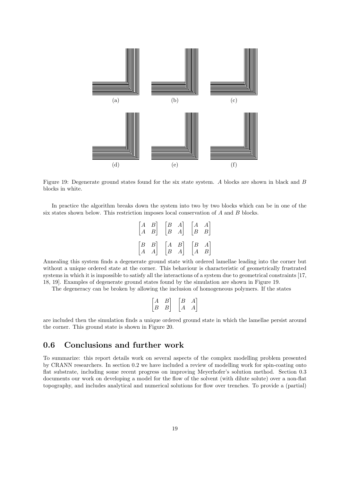

Figure 19: Degenerate ground states found for the six state system. A blocks are shown in black and B blocks in white.

In practice the algorithm breaks down the system into two by two blocks which can be in one of the six states shown below. This restriction imposes local conservation of A and B blocks.

|  | $\begin{bmatrix} A & B \\ A & B \end{bmatrix} \quad \begin{bmatrix} B & A \\ B & A \end{bmatrix} \quad \begin{bmatrix} A & A \\ B & B \end{bmatrix}$ |  |  |
|--|------------------------------------------------------------------------------------------------------------------------------------------------------|--|--|
|  | $\begin{bmatrix} B & B \\ A & A \end{bmatrix} \quad \begin{bmatrix} A & B \\ B & A \end{bmatrix} \quad \begin{bmatrix} B & A \\ A & B \end{bmatrix}$ |  |  |

Annealing this system finds a degenerate ground state with ordered lamellae leading into the corner but without a unique ordered state at the corner. This behaviour is characteristic of geometrically frustrated systems in which it is impossible to satisfy all the interactions of a system due to geometrical constraints [17, 18, 19]. Examples of degenerate ground states found by the simulation are shown in Figure 19.

The degeneracy can be broken by allowing the inclusion of homogeneous polymers. If the states

| $\begin{bmatrix} A & B \\ B & B \end{bmatrix}$ | $\begin{bmatrix} B & A \\ A & A \end{bmatrix}$ |
|------------------------------------------------|------------------------------------------------|

are included then the simulation finds a unique ordered ground state in which the lamellae persist around the corner. This ground state is shown in Figure 20.

## 0.6 Conclusions and further work

To summarize: this report details work on several aspects of the complex modelling problem presented by CRANN researchers. In section 0.2 we have included a review of modelling work for spin-coating onto flat substrate, including some recent progress on improving Meyerhofer's solution method. Section 0.3 documents our work on developing a model for the flow of the solvent (with dilute solute) over a non-flat topography, and includes analytical and numerical solutions for flow over trenches. To provide a (partial)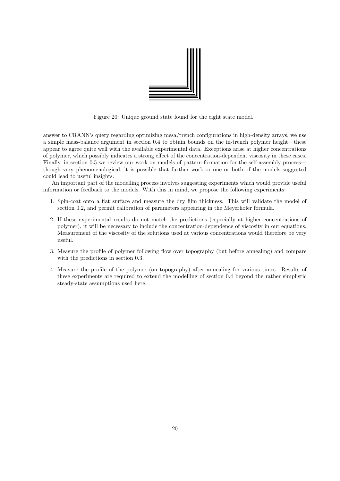

Figure 20: Unique ground state found for the eight state model.

answer to CRANN's query regarding optimizing mesa/trench configurations in high-density arrays, we use a simple mass-balance argument in section 0.4 to obtain bounds on the in-trench polymer height—these appear to agree quite well with the available experimental data. Exceptions arise at higher concentrations of polymer, which possibly indicates a strong effect of the concentration-dependent viscosity in these cases. Finally, in section 0.5 we review our work on models of pattern formation for the self-assembly process though very phenomenological, it is possible that further work or one or both of the models suggested could lead to useful insights.

An important part of the modelling process involves suggesting experiments which would provide useful information or feedback to the models. With this in mind, we propose the following experiments:

- 1. Spin-coat onto a flat surface and measure the dry film thickness. This will validate the model of section 0.2, and permit calibration of parameters appearing in the Meyerhofer formula.
- 2. If these experimental results do not match the predictions (especially at higher concentrations of polymer), it will be necessary to include the concentration-dependence of viscosity in our equations. Measurement of the viscosity of the solutions used at various concentrations would therefore be very useful.
- 3. Measure the profile of polymer following flow over topography (but before annealing) and compare with the predictions in section 0.3.
- 4. Measure the profile of the polymer (on topography) after annealing for various times. Results of these experiments are required to extend the modelling of section 0.4 beyond the rather simplistic steady-state assumptions used here.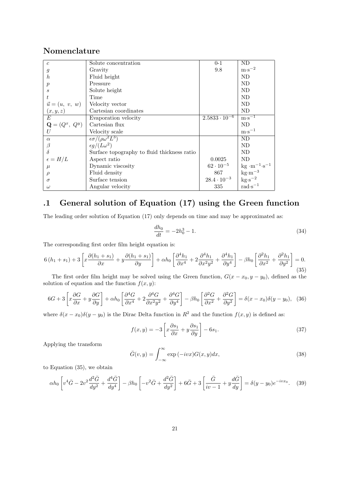# Nomenclature

| $\overline{c}$            | Solute concentration                        | $0 - 1$                | ND                                                                      |
|---------------------------|---------------------------------------------|------------------------|-------------------------------------------------------------------------|
| $\mathfrak{g}$            | Gravity                                     | 9.8                    | $m·s-2$                                                                 |
| $\boldsymbol{h}$          | Fluid height                                |                        | ND                                                                      |
| $\boldsymbol{p}$          | Pressure                                    |                        | ND                                                                      |
| S                         | Solute height                               |                        | ND                                                                      |
| t                         | Time                                        |                        | ND                                                                      |
| $\vec{u} = (u, v, w)$     | Velocity vector                             |                        | ND                                                                      |
| (x, y, z)                 | Cartesian coordinates                       |                        | ND                                                                      |
| E                         | Evaporation velocity                        | $2.5833 \cdot 10^{-6}$ | $m\cdot s^{-1}$                                                         |
| $\mathbf{Q} = (Q^x, Q^y)$ | Cartesian flux                              |                        | ND                                                                      |
| U                         | Velocity scale                              |                        | $m \cdot s^{-1}$                                                        |
| $\alpha$                  | $\epsilon \sigma / (\rho \omega^2 L^3)$     |                        | ND.                                                                     |
| $\beta$                   | $\epsilon g/(L\omega^2)$                    |                        | ND                                                                      |
| $\delta$                  | Surface topography to fluid thickness ratio |                        | ND.                                                                     |
| $\epsilon = H/L$          | Aspect ratio                                | 0.0025                 | ND                                                                      |
| $\mu$                     | Dynamic viscosity                           | $62 \cdot 10^{-5}$     | $\text{kg} \cdot \text{m}^{-1} \cdot \text{s}^{-1}$                     |
| $\rho$                    | Fluid density                               | 867                    |                                                                         |
| $\sigma$                  | Surface tension                             | $28.4 \cdot 10^{-3}$   | $\substack{\text{kg}\cdot\text{m}^{-3} \\ \text{kg}\cdot\text{s}^{-2}}$ |
| $\omega$                  | Angular velocity                            | 335                    | $rad \cdot s^{-1}$                                                      |

# .1 General solution of Equation (17) using the Green function

The leading order solution of Equation (17) only depends on time and may be approximated as:

$$
\frac{dh_0}{dt} = -2h_0^3 - 1.\tag{34}
$$

The corresponding first order film height equation is:

$$
6(h_1 + s_1) + 3\left[x\frac{\partial(h_1 + s_1)}{\partial x} + y\frac{\partial(h_1 + s_1)}{\partial y}\right] + \alpha h_0 \left[\frac{\partial^4 h_1}{\partial x^4} + 2\frac{\partial^4 h_1}{\partial x^2 y^2} + \frac{\partial^4 h_1}{\partial y^4}\right] - \beta h_0 \left[\frac{\partial^2 h_1}{\partial x^2} + \frac{\partial^2 h_1}{\partial y^2}\right] = 0. \tag{35}
$$

The first order film height may be solved using the Green function,  $G(x - x_0, y - y_0)$ , defined as the solution of equation and the function  $f(x, y)$ :

$$
6G + 3\left[x\frac{\partial G}{\partial x} + y\frac{\partial G}{\partial y}\right] + \alpha h_0 \left[\frac{\partial^4 G}{\partial x^4} + 2\frac{\partial^4 G}{\partial x^2 y^2} + \frac{\partial^4 G}{\partial y^4}\right] - \beta h_0 \left[\frac{\partial^2 G}{\partial x^2} + \frac{\partial^2 G}{\partial y^2}\right] = \delta(x - x_0)\delta(y - y_0),
$$
 (36)

where  $\delta(x-x_0)\delta(y-y_0)$  is the Dirac Delta function in  $R^2$  and the function  $f(x, y)$  is defined as:

$$
f(x,y) = -3\left[x\frac{\partial s_1}{\partial x} + y\frac{\partial s_1}{\partial y}\right] - 6s_1.
$$
 (37)

Applying the transform

$$
\bar{G}(v, y) = \int_{-\infty}^{\infty} \exp(-ivx) G(x, y) dx,
$$
\n(38)

to Equation (35), we obtain

$$
\alpha h_0 \left[ v^4 \bar{G} - 2v^2 \frac{d^2 \bar{G}}{dy^2} + \frac{d^4 \bar{G}}{dy^4} \right] - \beta h_0 \left[ -v^2 \bar{G} + \frac{d^2 \bar{G}}{dy^2} \right] + 6\bar{G} + 3 \left[ \frac{\bar{G}}{iv - 1} + y \frac{d\bar{G}}{dy} \right] = \delta(y - y_0) e^{-ivx_0}.
$$
 (39)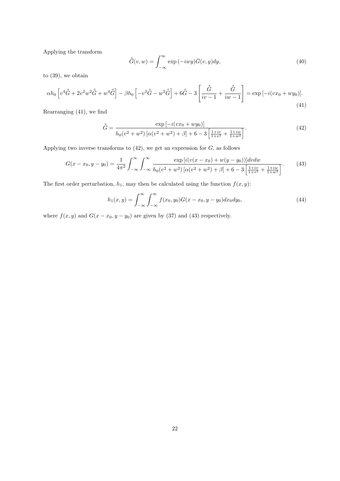Applying the transform

$$
\tilde{G}(v, w) = \int_{-\infty}^{\infty} \exp(-iwy)\bar{G}(v, y)dy,
$$
\n(40)

to (39), we obtain

$$
\alpha h_0 \left[ v^4 \tilde{\tilde{G}} + 2v^2 w^2 \tilde{\tilde{G}} + w^4 \tilde{\tilde{G}} \right] - \beta h_0 \left[ -v^2 \tilde{\tilde{G}} - w^2 \tilde{\tilde{G}} \right] + 6 \tilde{\tilde{G}} - 3 \left[ \frac{\tilde{\tilde{G}}}{iv - 1} + \frac{\tilde{\tilde{G}}}{iw - 1} \right] = \exp\left[ -i(vx_0 + wy_0) \right].
$$
\n(41)

Rearranging (41), we find

$$
\tilde{G} = \frac{\exp\left[-i(vx_0 + wy_0)\right]}{h_0(v^2 + w^2)\left[\alpha(v^2 + w^2) + \beta\right] + 6 - 3\left[\frac{1 + iv}{1 + v^2} + \frac{1 + iw}{1 + w^2}\right]}.
$$
\n(42)

Applying two inverse transforms to  $(42)$ , we get an expression for  $G$ , as follows

$$
G(x - x_0, y - y_0) = \frac{1}{4\pi^2} \int_{-\infty}^{\infty} \int_{-\infty}^{\infty} \frac{\exp\left[i(v(x - x_0) + w(y - y_0))\right]dv dw}{h_0(v^2 + w^2)\left[\alpha(v^2 + w^2) + \beta\right] + 6 - 3\left[\frac{1 + iv}{1 + v^2} + \frac{1 + iw}{1 + w^2}\right]}.
$$
(43)

The first order perturbation,  $h_1$ , may then be calculated using the function  $f(x, y)$ :

$$
h_1(x,y) = \int_{-\infty}^{\infty} \int_{-\infty}^{\infty} f(x_0, y_0) G(x - x_0, y - y_0) dx_0 dy_0,
$$
\n(44)

where  $f(x, y)$  and  $G(x - x_0, y - y_0)$  are given by (37) and (43) respectively.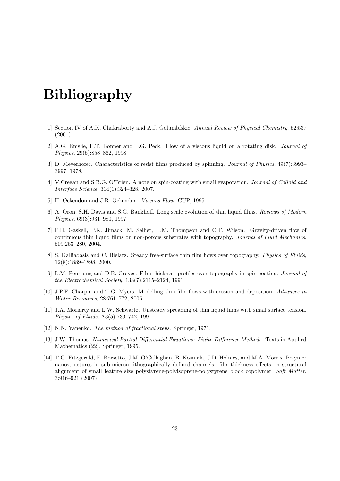# Bibliography

- [1] Section IV of A.K. Chakraborty and A.J. Golumbfskie. Annual Review of Physical Chemistry, 52:537 (2001).
- [2] A.G. Emslie, F.T. Bonner and L.G. Peck. Flow of a viscous liquid on a rotating disk. Journal of Physics, 29(5):858–862, 1998.
- [3] D. Meyerhofer. Characteristics of resist films produced by spinning. Journal of Physics, 49(7):3993– 3997, 1978.
- [4] V.Cregan and S.B.G. O'Brien. A note on spin-coating with small evaporation. Journal of Colloid and Interface Science, 314(1):324–328, 2007.
- [5] H. Ockendon and J.R. Ockendon. Viscous Flow. CUP, 1995.
- [6] A. Oron, S.H. Davis and S.G. Bankhoff. Long scale evolution of thin liquid films. Reviews of Modern Physics, 69(3):931–980, 1997.
- [7] P.H. Gaskell, P.K. Jimack, M. Sellier, H.M. Thompson and C.T. Wilson. Gravity-driven flow of continuous thin liquid films on non-porous substrates with topography. Journal of Fluid Mechanics, 509:253–280, 2004.
- [8] S. Kalliadasis and C. Bielarz. Steady free-surface thin film flows over topography. Physics of Fluids, 12(8):1889–1898, 2000.
- [9] L.M. Peurrung and D.B. Graves. Film thickness profiles over topography in spin coating. Journal of the Electrochemical Society, 138(7):2115–2124, 1991.
- [10] J.P.F. Charpin and T.G. Myers. Modelling thin film flows with erosion and deposition. Advances in Water Resources, 28:761–772, 2005.
- [11] J.A. Moriarty and L.W. Schwartz. Unsteady spreading of thin liquid films with small surface tension. Physics of Fluids, A3(5):733–742, 1991.
- [12] N.N. Yanenko. *The method of fractional steps*. Springer, 1971.
- [13] J.W. Thomas. Numerical Partial Differential Equations: Finite Difference Methods. Texts in Applied Mathematics (22). Springer, 1995.
- [14] T.G. Fitzgerald, F. Borsetto, J.M. O'Callaghan, B. Kosmala, J.D. Holmes, and M.A. Morris. Polymer nanostructures in sub-micron lithographically defined channels: film-thickness effects on structural alignment of small feature size polystyrene-polyisoprene-polystyrene block copolymer Soft Matter, 3:916–921 (2007)